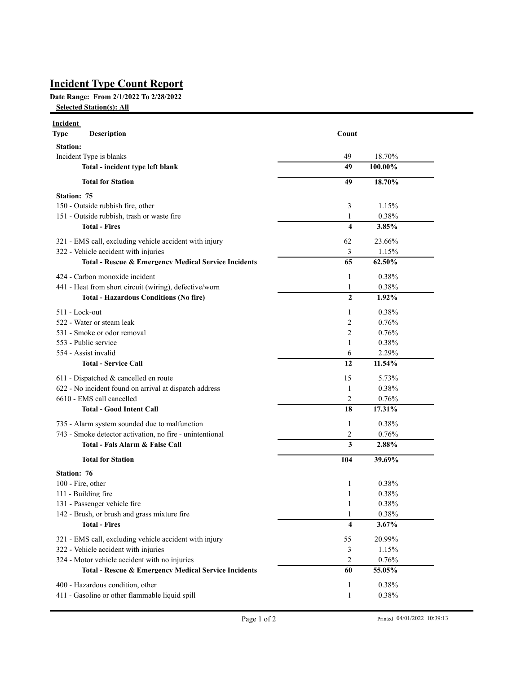## **Incident Type Count Report**

## **Date Range: From 2/1/2022 To 2/28/2022**

**Selected Station(s): All**

| <b>Incident</b><br><b>Type</b>                                                      | <b>Description</b>                                              | Count                   |         |  |
|-------------------------------------------------------------------------------------|-----------------------------------------------------------------|-------------------------|---------|--|
| <b>Station:</b>                                                                     |                                                                 |                         |         |  |
| Incident Type is blanks                                                             |                                                                 | 49                      | 18.70%  |  |
|                                                                                     | Total - incident type left blank                                | 49                      | 100.00% |  |
|                                                                                     | <b>Total for Station</b>                                        | 49                      | 18.70%  |  |
| <b>Station: 75</b>                                                                  |                                                                 |                         |         |  |
| 150 - Outside rubbish fire, other                                                   |                                                                 | 3                       | 1.15%   |  |
| 151 - Outside rubbish, trash or waste fire                                          |                                                                 | 1                       | 0.38%   |  |
|                                                                                     | <b>Total - Fires</b>                                            | 4                       | 3.85%   |  |
| 321 - EMS call, excluding vehicle accident with injury                              |                                                                 | 62                      | 23.66%  |  |
|                                                                                     | 322 - Vehicle accident with injuries                            | 3                       | 1.15%   |  |
|                                                                                     | <b>Total - Rescue &amp; Emergency Medical Service Incidents</b> | 65                      | 62.50%  |  |
|                                                                                     | 424 - Carbon monoxide incident                                  | 1                       | 0.38%   |  |
|                                                                                     | 441 - Heat from short circuit (wiring), defective/worn          | $\mathbf{1}$            | 0.38%   |  |
|                                                                                     | <b>Total - Hazardous Conditions (No fire)</b>                   | $\mathbf{2}$            | 1.92%   |  |
| 511 - Lock-out                                                                      |                                                                 | 1                       | 0.38%   |  |
|                                                                                     | 522 - Water or steam leak                                       | 2                       | 0.76%   |  |
|                                                                                     | 531 - Smoke or odor removal                                     | 2                       | 0.76%   |  |
| 553 - Public service<br>554 - Assist invalid                                        |                                                                 | 1                       | 0.38%   |  |
|                                                                                     |                                                                 | 6                       | 2.29%   |  |
|                                                                                     | <b>Total - Service Call</b>                                     | 12                      | 11.54%  |  |
|                                                                                     | 611 - Dispatched & cancelled en route                           | 15                      | 5.73%   |  |
| 622 - No incident found on arrival at dispatch address<br>6610 - EMS call cancelled |                                                                 | 1                       | 0.38%   |  |
|                                                                                     |                                                                 | $\overline{2}$          | 0.76%   |  |
|                                                                                     | <b>Total - Good Intent Call</b>                                 | 18                      | 17.31%  |  |
|                                                                                     | 735 - Alarm system sounded due to malfunction                   | 1                       | 0.38%   |  |
|                                                                                     | 743 - Smoke detector activation, no fire - unintentional        | 2                       | 0.76%   |  |
|                                                                                     | Total - Fals Alarm & False Call                                 | 3                       | 2.88%   |  |
|                                                                                     | <b>Total for Station</b>                                        | 104                     | 39.69%  |  |
| <b>Station: 76</b>                                                                  |                                                                 |                         |         |  |
| 100 - Fire, other                                                                   |                                                                 | 1                       | 0.38%   |  |
|                                                                                     | 111 - Building fire                                             | 1                       | 0.38%   |  |
|                                                                                     | 131 - Passenger vehicle fire                                    | 1                       | 0.38%   |  |
|                                                                                     | 142 - Brush, or brush and grass mixture fire                    | 1                       | 0.38%   |  |
|                                                                                     | <b>Total - Fires</b>                                            | $\overline{\mathbf{4}}$ | 3.67%   |  |
|                                                                                     | 321 - EMS call, excluding vehicle accident with injury          | 55                      | 20.99%  |  |
|                                                                                     | 322 - Vehicle accident with injuries                            | 3                       | 1.15%   |  |
|                                                                                     | 324 - Motor vehicle accident with no injuries                   | 2                       | 0.76%   |  |
|                                                                                     | Total - Rescue & Emergency Medical Service Incidents            | 60                      | 55.05%  |  |
|                                                                                     | 400 - Hazardous condition, other                                | $\mathbf{1}$            | 0.38%   |  |
|                                                                                     | 411 - Gasoline or other flammable liquid spill                  | $\mathbf{1}$            | 0.38%   |  |
|                                                                                     |                                                                 |                         |         |  |